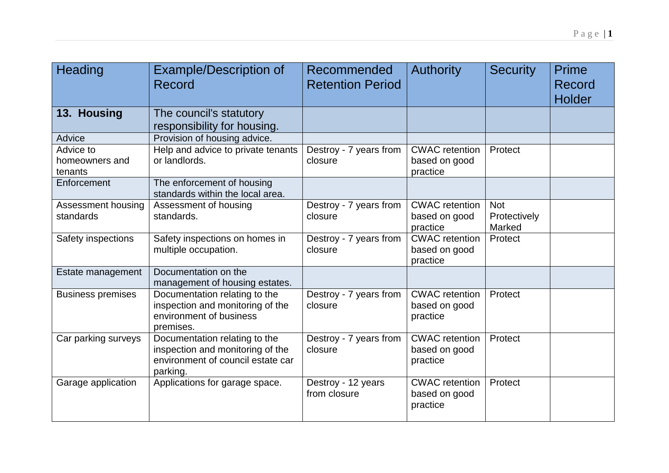| Heading                                | <b>Example/Description of</b><br>Record                                                                            | Recommended<br><b>Retention Period</b> | <b>Authority</b>                                   | <b>Security</b>                      | <b>Prime</b><br>Record<br><b>Holder</b> |
|----------------------------------------|--------------------------------------------------------------------------------------------------------------------|----------------------------------------|----------------------------------------------------|--------------------------------------|-----------------------------------------|
| 13. Housing                            | The council's statutory<br>responsibility for housing.                                                             |                                        |                                                    |                                      |                                         |
| Advice                                 | Provision of housing advice.                                                                                       |                                        |                                                    |                                      |                                         |
| Advice to<br>homeowners and<br>tenants | Help and advice to private tenants<br>or landlords.                                                                | Destroy - 7 years from<br>closure      | <b>CWAC</b> retention<br>based on good<br>practice | Protect                              |                                         |
| Enforcement                            | The enforcement of housing<br>standards within the local area.                                                     |                                        |                                                    |                                      |                                         |
| Assessment housing<br>standards        | Assessment of housing<br>standards.                                                                                | Destroy - 7 years from<br>closure      | <b>CWAC</b> retention<br>based on good<br>practice | <b>Not</b><br>Protectively<br>Marked |                                         |
| Safety inspections                     | Safety inspections on homes in<br>multiple occupation.                                                             | Destroy - 7 years from<br>closure      | <b>CWAC</b> retention<br>based on good<br>practice | Protect                              |                                         |
| Estate management                      | Documentation on the<br>management of housing estates.                                                             |                                        |                                                    |                                      |                                         |
| <b>Business premises</b>               | Documentation relating to the<br>inspection and monitoring of the<br>environment of business<br>premises.          | Destroy - 7 years from<br>closure      | <b>CWAC</b> retention<br>based on good<br>practice | Protect                              |                                         |
| Car parking surveys                    | Documentation relating to the<br>inspection and monitoring of the<br>environment of council estate car<br>parking. | Destroy - 7 years from<br>closure      | <b>CWAC</b> retention<br>based on good<br>practice | Protect                              |                                         |
| Garage application                     | Applications for garage space.                                                                                     | Destroy - 12 years<br>from closure     | <b>CWAC</b> retention<br>based on good<br>practice | Protect                              |                                         |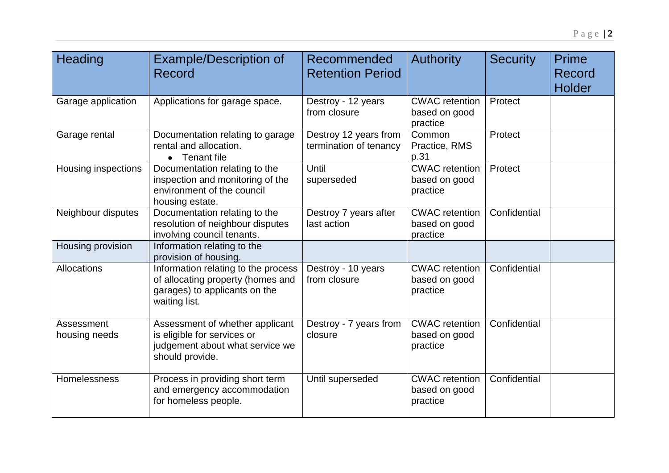| Heading                     | <b>Example/Description of</b><br>Record                                                                                    | Recommended<br><b>Retention Period</b>          | <b>Authority</b>                                   | <b>Security</b> | <b>Prime</b><br>Record<br><b>Holder</b> |
|-----------------------------|----------------------------------------------------------------------------------------------------------------------------|-------------------------------------------------|----------------------------------------------------|-----------------|-----------------------------------------|
| Garage application          | Applications for garage space.                                                                                             | Destroy - 12 years<br>from closure              | <b>CWAC</b> retention<br>based on good<br>practice | Protect         |                                         |
| Garage rental               | Documentation relating to garage<br>rental and allocation.<br>Tenant file                                                  | Destroy 12 years from<br>termination of tenancy | Common<br>Practice, RMS<br>p.31                    | Protect         |                                         |
| <b>Housing inspections</b>  | Documentation relating to the<br>inspection and monitoring of the<br>environment of the council<br>housing estate.         | Until<br>superseded                             | <b>CWAC</b> retention<br>based on good<br>practice | Protect         |                                         |
| Neighbour disputes          | Documentation relating to the<br>resolution of neighbour disputes<br>involving council tenants.                            | Destroy 7 years after<br>last action            | <b>CWAC</b> retention<br>based on good<br>practice | Confidential    |                                         |
| Housing provision           | Information relating to the<br>provision of housing.                                                                       |                                                 |                                                    |                 |                                         |
| Allocations                 | Information relating to the process<br>of allocating property (homes and<br>garages) to applicants on the<br>waiting list. | Destroy - 10 years<br>from closure              | <b>CWAC</b> retention<br>based on good<br>practice | Confidential    |                                         |
| Assessment<br>housing needs | Assessment of whether applicant<br>is eligible for services or<br>judgement about what service we<br>should provide.       | Destroy - 7 years from<br>closure               | <b>CWAC</b> retention<br>based on good<br>practice | Confidential    |                                         |
| Homelessness                | Process in providing short term<br>and emergency accommodation<br>for homeless people.                                     | Until superseded                                | <b>CWAC</b> retention<br>based on good<br>practice | Confidential    |                                         |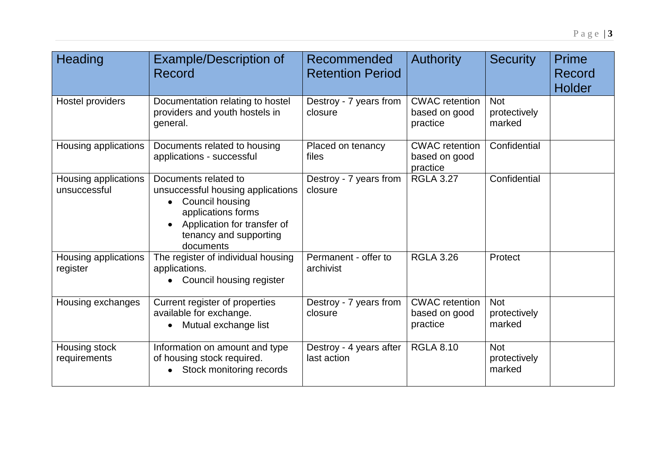| Heading                              | <b>Example/Description of</b><br>Record                                                                                                                                  | Recommended<br><b>Retention Period</b> | <b>Authority</b>                                   | <b>Security</b>                      | Prime<br>Record<br><b>Holder</b> |
|--------------------------------------|--------------------------------------------------------------------------------------------------------------------------------------------------------------------------|----------------------------------------|----------------------------------------------------|--------------------------------------|----------------------------------|
| Hostel providers                     | Documentation relating to hostel<br>providers and youth hostels in<br>general.                                                                                           | Destroy - 7 years from<br>closure      | <b>CWAC</b> retention<br>based on good<br>practice | <b>Not</b><br>protectively<br>marked |                                  |
| Housing applications                 | Documents related to housing<br>applications - successful                                                                                                                | Placed on tenancy<br>files             | <b>CWAC</b> retention<br>based on good<br>practice | Confidential                         |                                  |
| Housing applications<br>unsuccessful | Documents related to<br>unsuccessful housing applications<br>Council housing<br>applications forms<br>Application for transfer of<br>tenancy and supporting<br>documents | Destroy - 7 years from<br>closure      | <b>RGLA 3.27</b>                                   | Confidential                         |                                  |
| Housing applications<br>register     | The register of individual housing<br>applications.<br>• Council housing register                                                                                        | Permanent - offer to<br>archivist      | <b>RGLA 3.26</b>                                   | Protect                              |                                  |
| Housing exchanges                    | Current register of properties<br>available for exchange.<br>Mutual exchange list                                                                                        | Destroy - 7 years from<br>closure      | <b>CWAC</b> retention<br>based on good<br>practice | <b>Not</b><br>protectively<br>marked |                                  |
| Housing stock<br>requirements        | Information on amount and type<br>of housing stock required.<br>Stock monitoring records                                                                                 | Destroy - 4 years after<br>last action | <b>RGLA 8.10</b>                                   | <b>Not</b><br>protectively<br>marked |                                  |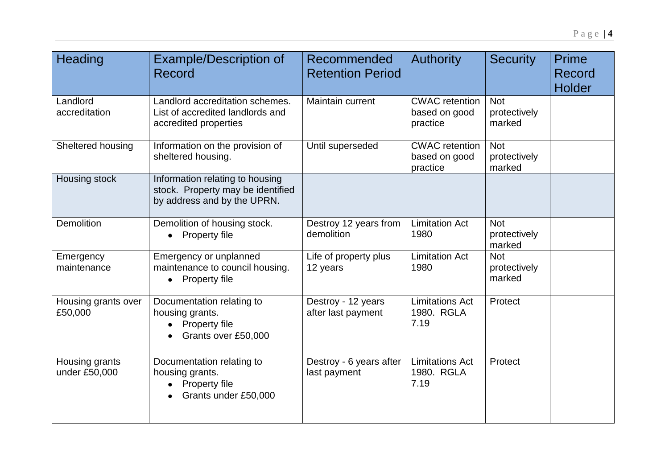| Heading                         | <b>Example/Description of</b><br>Record                                                             | Recommended<br><b>Retention Period</b>   | <b>Authority</b>                                   | <b>Security</b>                      | <b>Prime</b><br>Record<br><b>Holder</b> |
|---------------------------------|-----------------------------------------------------------------------------------------------------|------------------------------------------|----------------------------------------------------|--------------------------------------|-----------------------------------------|
| Landlord<br>accreditation       | Landlord accreditation schemes.<br>List of accredited landlords and<br>accredited properties        | Maintain current                         | <b>CWAC</b> retention<br>based on good<br>practice | <b>Not</b><br>protectively<br>marked |                                         |
| Sheltered housing               | Information on the provision of<br>sheltered housing.                                               | Until superseded                         | <b>CWAC</b> retention<br>based on good<br>practice | <b>Not</b><br>protectively<br>marked |                                         |
| Housing stock                   | Information relating to housing<br>stock. Property may be identified<br>by address and by the UPRN. |                                          |                                                    |                                      |                                         |
| Demolition                      | Demolition of housing stock.<br>• Property file                                                     | Destroy 12 years from<br>demolition      | <b>Limitation Act</b><br>1980                      | <b>Not</b><br>protectively<br>marked |                                         |
| Emergency<br>maintenance        | Emergency or unplanned<br>maintenance to council housing.<br>Property file                          | Life of property plus<br>12 years        | <b>Limitation Act</b><br>1980                      | <b>Not</b><br>protectively<br>marked |                                         |
| Housing grants over<br>£50,000  | Documentation relating to<br>housing grants.<br>Property file<br>Grants over £50,000                | Destroy - 12 years<br>after last payment | <b>Limitations Act</b><br>1980. RGLA<br>7.19       | Protect                              |                                         |
| Housing grants<br>under £50,000 | Documentation relating to<br>housing grants.<br>Property file<br>Grants under £50,000               | Destroy - 6 years after<br>last payment  | <b>Limitations Act</b><br>1980. RGLA<br>7.19       | Protect                              |                                         |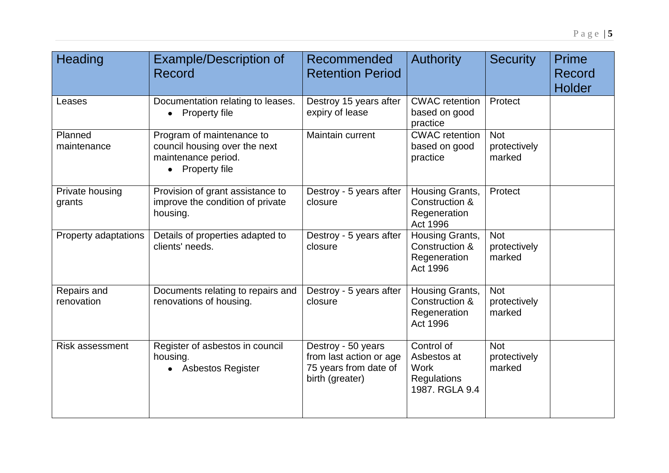| Heading                   | <b>Example/Description of</b><br>Record                                                            | Recommended<br><b>Retention Period</b>                                                    | <b>Authority</b>                                                                 | <b>Security</b>                      | Prime<br>Record<br><b>Holder</b> |
|---------------------------|----------------------------------------------------------------------------------------------------|-------------------------------------------------------------------------------------------|----------------------------------------------------------------------------------|--------------------------------------|----------------------------------|
| Leases                    | Documentation relating to leases.<br>Property file                                                 | Destroy 15 years after<br>expiry of lease                                                 | <b>CWAC</b> retention<br>based on good<br>practice                               | Protect                              |                                  |
| Planned<br>maintenance    | Program of maintenance to<br>council housing over the next<br>maintenance period.<br>Property file | Maintain current                                                                          | <b>CWAC</b> retention<br>based on good<br>practice                               | <b>Not</b><br>protectively<br>marked |                                  |
| Private housing<br>grants | Provision of grant assistance to<br>improve the condition of private<br>housing.                   | Destroy - 5 years after<br>closure                                                        | Housing Grants,<br>Construction &<br>Regeneration<br>Act 1996                    | Protect                              |                                  |
| Property adaptations      | Details of properties adapted to<br>clients' needs.                                                | Destroy - 5 years after<br>closure                                                        | Housing Grants,<br>Construction &<br>Regeneration<br>Act 1996                    | <b>Not</b><br>protectively<br>marked |                                  |
| Repairs and<br>renovation | Documents relating to repairs and<br>renovations of housing.                                       | Destroy - 5 years after<br>closure                                                        | Housing Grants,<br>Construction &<br>Regeneration<br><b>Act 1996</b>             | <b>Not</b><br>protectively<br>marked |                                  |
| <b>Risk assessment</b>    | Register of asbestos in council<br>housing.<br><b>Asbestos Register</b>                            | Destroy - 50 years<br>from last action or age<br>75 years from date of<br>birth (greater) | Control of<br>Asbestos at<br><b>Work</b><br><b>Regulations</b><br>1987. RGLA 9.4 | <b>Not</b><br>protectively<br>marked |                                  |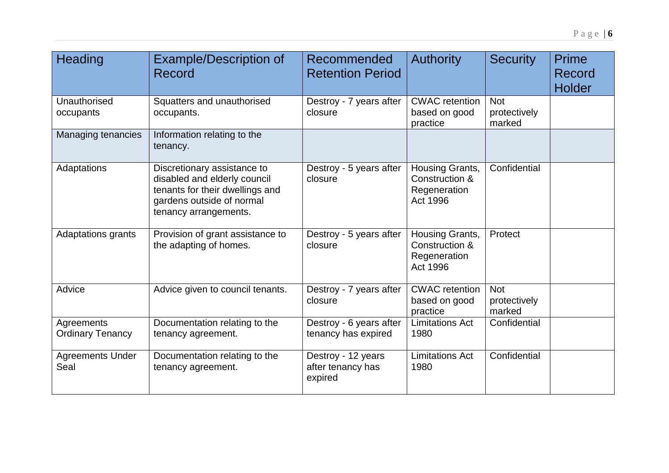| <b>Heading</b>                        | <b>Example/Description of</b><br>Record                                                                                                              | Recommended<br><b>Retention Period</b>             | <b>Authority</b>                                              | <b>Security</b>                      | <b>Prime</b><br>Record<br><b>Holder</b> |
|---------------------------------------|------------------------------------------------------------------------------------------------------------------------------------------------------|----------------------------------------------------|---------------------------------------------------------------|--------------------------------------|-----------------------------------------|
| Unauthorised<br>occupants             | Squatters and unauthorised<br>occupants.                                                                                                             | Destroy - 7 years after<br>closure                 | <b>CWAC</b> retention<br>based on good<br>practice            | <b>Not</b><br>protectively<br>marked |                                         |
| Managing tenancies                    | Information relating to the<br>tenancy.                                                                                                              |                                                    |                                                               |                                      |                                         |
| Adaptations                           | Discretionary assistance to<br>disabled and elderly council<br>tenants for their dwellings and<br>gardens outside of normal<br>tenancy arrangements. | Destroy - 5 years after<br>closure                 | Housing Grants,<br>Construction &<br>Regeneration<br>Act 1996 | Confidential                         |                                         |
| <b>Adaptations grants</b>             | Provision of grant assistance to<br>the adapting of homes.                                                                                           | Destroy - 5 years after<br>closure                 | Housing Grants,<br>Construction &<br>Regeneration<br>Act 1996 | Protect                              |                                         |
| Advice                                | Advice given to council tenants.                                                                                                                     | Destroy - 7 years after<br>closure                 | <b>CWAC</b> retention<br>based on good<br>practice            | <b>Not</b><br>protectively<br>marked |                                         |
| Agreements<br><b>Ordinary Tenancy</b> | Documentation relating to the<br>tenancy agreement.                                                                                                  | Destroy - 6 years after<br>tenancy has expired     | <b>Limitations Act</b><br>1980                                | Confidential                         |                                         |
| <b>Agreements Under</b><br>Seal       | Documentation relating to the<br>tenancy agreement.                                                                                                  | Destroy - 12 years<br>after tenancy has<br>expired | <b>Limitations Act</b><br>1980                                | Confidential                         |                                         |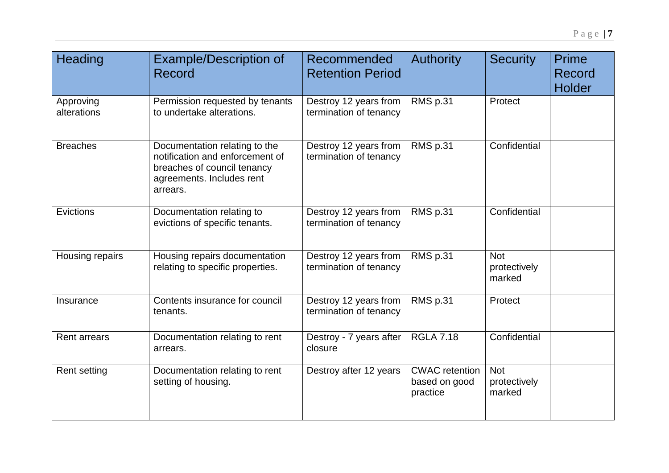| Heading                  | <b>Example/Description of</b><br><b>Record</b>                                                                                           | Recommended<br><b>Retention Period</b>          | <b>Authority</b>                                   | <b>Security</b>                      | <b>Prime</b><br><b>Record</b><br><b>Holder</b> |
|--------------------------|------------------------------------------------------------------------------------------------------------------------------------------|-------------------------------------------------|----------------------------------------------------|--------------------------------------|------------------------------------------------|
| Approving<br>alterations | Permission requested by tenants<br>to undertake alterations.                                                                             | Destroy 12 years from<br>termination of tenancy | RMS p.31                                           | Protect                              |                                                |
| <b>Breaches</b>          | Documentation relating to the<br>notification and enforcement of<br>breaches of council tenancy<br>agreements. Includes rent<br>arrears. | Destroy 12 years from<br>termination of tenancy | RMS p.31                                           | Confidential                         |                                                |
| Evictions                | Documentation relating to<br>evictions of specific tenants.                                                                              | Destroy 12 years from<br>termination of tenancy | RMS p.31                                           | Confidential                         |                                                |
| Housing repairs          | Housing repairs documentation<br>relating to specific properties.                                                                        | Destroy 12 years from<br>termination of tenancy | RMS p.31                                           | <b>Not</b><br>protectively<br>marked |                                                |
| Insurance                | Contents insurance for council<br>tenants.                                                                                               | Destroy 12 years from<br>termination of tenancy | RMS p.31                                           | Protect                              |                                                |
| <b>Rent arrears</b>      | Documentation relating to rent<br>arrears.                                                                                               | Destroy - 7 years after<br>closure              | <b>RGLA 7.18</b>                                   | Confidential                         |                                                |
| <b>Rent setting</b>      | Documentation relating to rent<br>setting of housing.                                                                                    | Destroy after 12 years                          | <b>CWAC</b> retention<br>based on good<br>practice | <b>Not</b><br>protectively<br>marked |                                                |